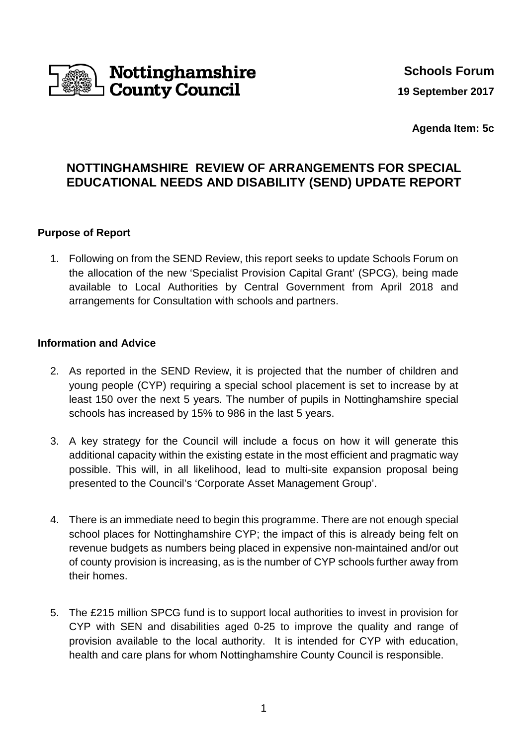

**Agenda Item: 5c**

## **NOTTINGHAMSHIRE REVIEW OF ARRANGEMENTS FOR SPECIAL EDUCATIONAL NEEDS AND DISABILITY (SEND) UPDATE REPORT**

## **Purpose of Report**

1. Following on from the SEND Review, this report seeks to update Schools Forum on the allocation of the new 'Specialist Provision Capital Grant' (SPCG), being made available to Local Authorities by Central Government from April 2018 and arrangements for Consultation with schools and partners.

## **Information and Advice**

- 2. As reported in the SEND Review, it is projected that the number of children and young people (CYP) requiring a special school placement is set to increase by at least 150 over the next 5 years. The number of pupils in Nottinghamshire special schools has increased by 15% to 986 in the last 5 years.
- 3. A key strategy for the Council will include a focus on how it will generate this additional capacity within the existing estate in the most efficient and pragmatic way possible. This will, in all likelihood, lead to multi-site expansion proposal being presented to the Council's 'Corporate Asset Management Group'.
- 4. There is an immediate need to begin this programme. There are not enough special school places for Nottinghamshire CYP; the impact of this is already being felt on revenue budgets as numbers being placed in expensive non-maintained and/or out of county provision is increasing, as is the number of CYP schools further away from their homes.
- 5. The £215 million SPCG fund is to support local authorities to invest in provision for CYP with SEN and disabilities aged 0-25 to improve the quality and range of provision available to the local authority. It is intended for CYP with education, health and care plans for whom Nottinghamshire County Council is responsible.